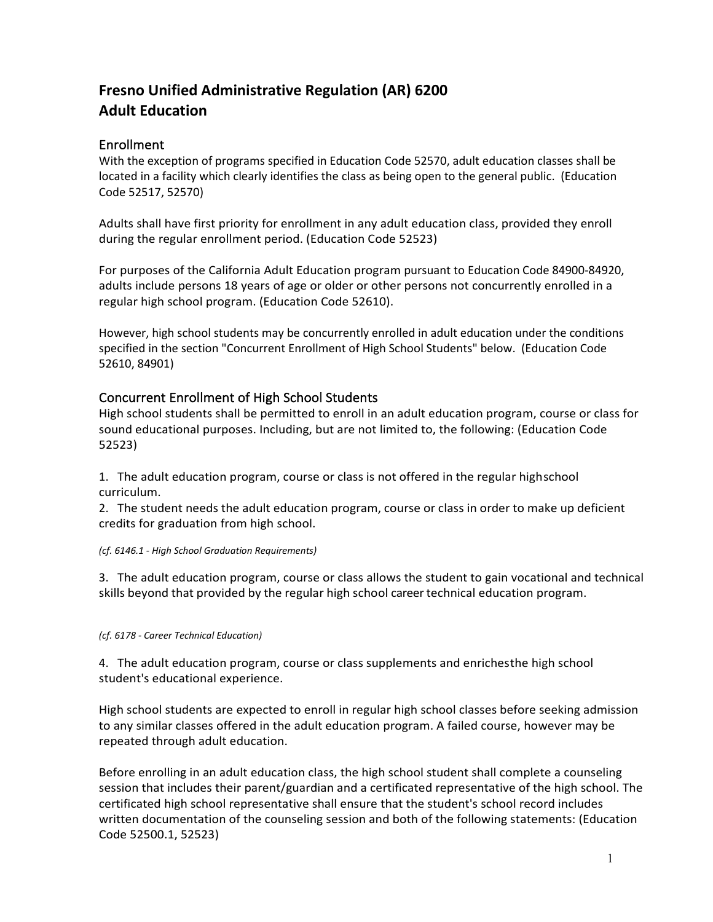# **Fresno Unified Administrative Regulation (AR) 6200 Adult Education**

# Enrollment

With the exception of programs specified in Education Code 52570, adult education classes shall be located in a facility which clearly identifies the class as being open to the general public. (Education Code 52517, 52570)

Adults shall have first priority for enrollment in any adult education class, provided they enroll during the regular enrollment period. (Education Code 52523)

For purposes of the California Adult Education program pursuant to Education Code 84900-84920, adults include persons 18 years of age or older or other persons not concurrently enrolled in a regular high school program. (Education Code 52610).

However, high school students may be concurrently enrolled in adult education under the conditions specified in the section "Concurrent Enrollment of High School Students" below. (Education Code 52610, 84901)

# Concurrent Enrollment of High School Students

High school students shall be permitted to enroll in an adult education program, course or class for sound educational purposes. Including, but are not limited to, the following: (Education Code 52523)

1. The adult education program, course or class is not offered in the regular highschool curriculum.

2. The student needs the adult education program, course or class in order to make up deficient credits for graduation from high school.

#### *(cf. 6146.1 - High School Graduation Requirements)*

3. The adult education program, course or class allows the student to gain vocational and technical skills beyond that provided by the regular high school careertechnical education program.

#### *(cf. 6178 - Career Technical Education)*

4. The adult education program, course or class supplements and enrichesthe high school student's educational experience.

High school students are expected to enroll in regular high school classes before seeking admission to any similar classes offered in the adult education program. A failed course, however may be repeated through adult education.

Before enrolling in an adult education class, the high school student shall complete a counseling session that includes their parent/guardian and a certificated representative of the high school. The certificated high school representative shall ensure that the student's school record includes written documentation of the counseling session and both of the following statements: (Education Code 52500.1, 52523)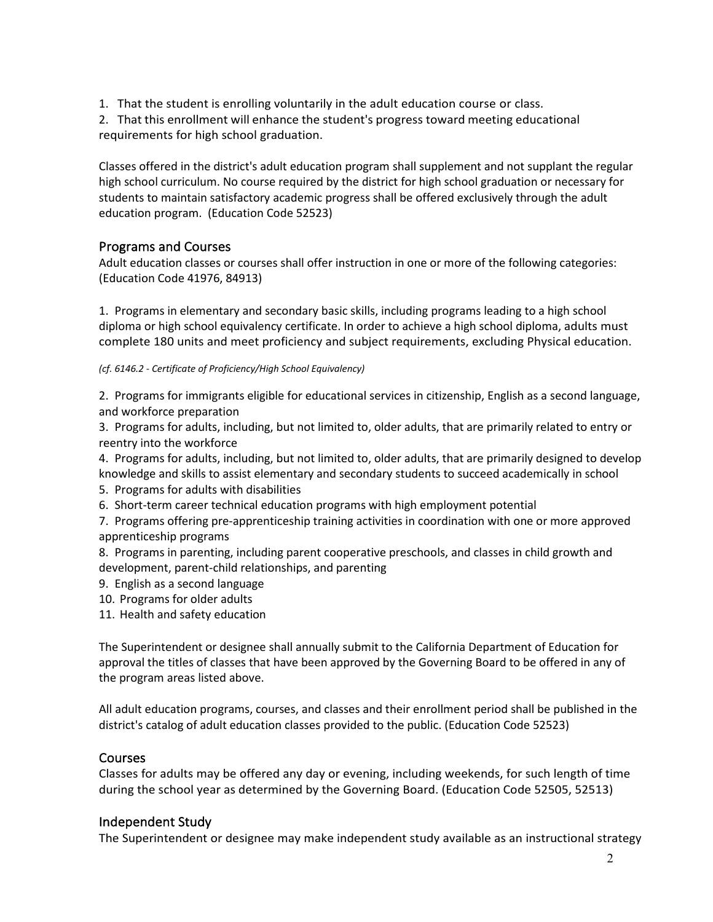1. That the student is enrolling voluntarily in the adult education course or class.

2. That this enrollment will enhance the student's progress toward meeting educational requirements for high school graduation.

Classes offered in the district's adult education program shall supplement and not supplant the regular high school curriculum. No course required by the district for high school graduation or necessary for students to maintain satisfactory academic progress shall be offered exclusively through the adult education program. (Education Code 52523)

# Programs and Courses

Adult education classes or courses shall offer instruction in one or more of the following categories: (Education Code 41976, 84913)

1. Programs in elementary and secondary basic skills, including programs leading to a high school diploma or high school equivalency certificate. In order to achieve a high school diploma, adults must complete 180 units and meet proficiency and subject requirements, excluding Physical education.

*(cf. 6146.2 - Certificate of Proficiency/High School Equivalency)*

2. Programs for immigrants eligible for educational services in citizenship, English as a second language, and workforce preparation

3. Programs for adults, including, but not limited to, older adults, that are primarily related to entry or reentry into the workforce

4. Programs for adults, including, but not limited to, older adults, that are primarily designed to develop knowledge and skills to assist elementary and secondary students to succeed academically in school

5. Programs for adults with disabilities

6. Short-term career technical education programs with high employment potential

7. Programs offering pre-apprenticeship training activities in coordination with one or more approved apprenticeship programs

8. Programs in parenting, including parent cooperative preschools, and classes in child growth and development, parent-child relationships, and parenting

- 9. English as a second language
- 10. Programs for older adults
- 11. Health and safety education

The Superintendent or designee shall annually submit to the California Department of Education for approval the titles of classes that have been approved by the Governing Board to be offered in any of the program areas listed above.

All adult education programs, courses, and classes and their enrollment period shall be published in the district's catalog of adult education classes provided to the public. (Education Code 52523)

### Courses

Classes for adults may be offered any day or evening, including weekends, for such length of time during the school year as determined by the Governing Board. (Education Code 52505, 52513)

### Independent Study

The Superintendent or designee may make independent study available as an instructional strategy